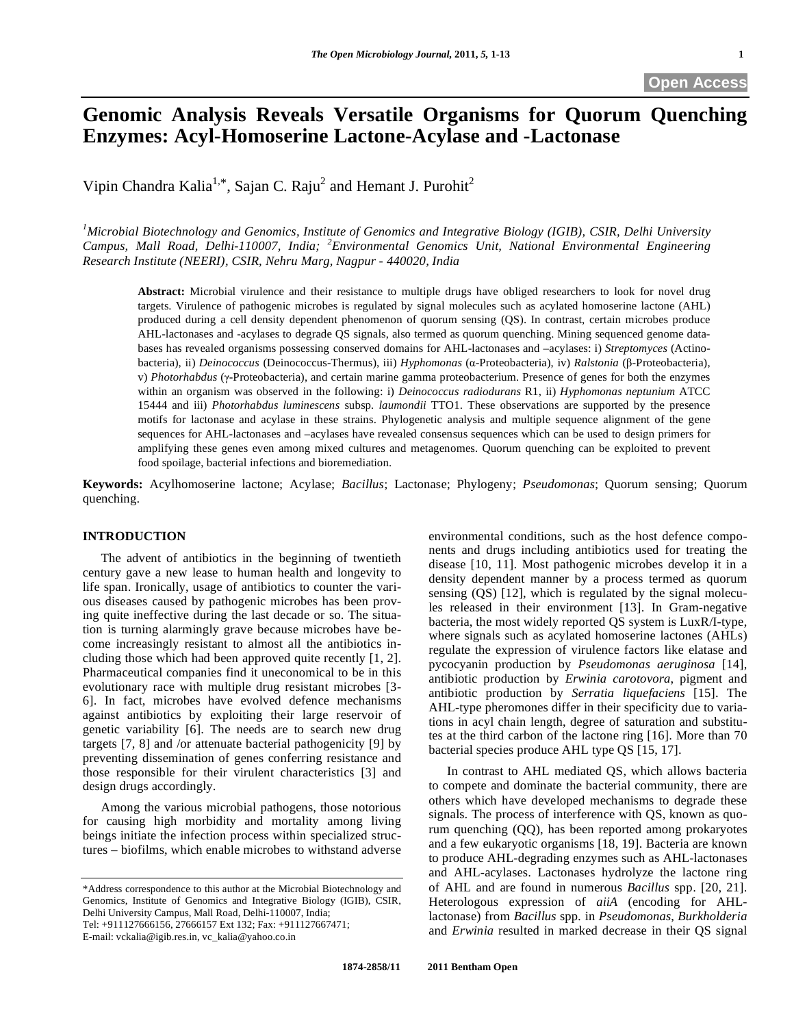# **Genomic Analysis Reveals Versatile Organisms for Quorum Quenching Enzymes: Acyl-Homoserine Lactone-Acylase and -Lactonase**

Vipin Chandra Kalia<sup>1,\*</sup>, Sajan C. Raju<sup>2</sup> and Hemant J. Purohit<sup>2</sup>

*1 Microbial Biotechnology and Genomics, Institute of Genomics and Integrative Biology (IGIB), CSIR, Delhi University Campus, Mall Road, Delhi-110007, India; <sup>2</sup> Environmental Genomics Unit, National Environmental Engineering Research Institute (NEERI), CSIR, Nehru Marg, Nagpur - 440020, India* 

**Abstract:** Microbial virulence and their resistance to multiple drugs have obliged researchers to look for novel drug targets. Virulence of pathogenic microbes is regulated by signal molecules such as acylated homoserine lactone (AHL) produced during a cell density dependent phenomenon of quorum sensing (QS). In contrast, certain microbes produce AHL-lactonases and -acylases to degrade QS signals, also termed as quorum quenching. Mining sequenced genome databases has revealed organisms possessing conserved domains for AHL-lactonases and –acylases: i) *Streptomyces* (Actinobacteria), ii) *Deinococcus* (Deinococcus-Thermus), iii) *Hyphomonas* (α-Proteobacteria), iv) *Ralstonia* (β-Proteobacteria), v) *Photorhabdus* (-Proteobacteria), and certain marine gamma proteobacterium. Presence of genes for both the enzymes within an organism was observed in the following: i) *Deinococcus radiodurans* R1, ii) *Hyphomonas neptunium* ATCC 15444 and iii) *Photorhabdus luminescens* subsp*. laumondii* TTO1. These observations are supported by the presence motifs for lactonase and acylase in these strains. Phylogenetic analysis and multiple sequence alignment of the gene sequences for AHL-lactonases and –acylases have revealed consensus sequences which can be used to design primers for amplifying these genes even among mixed cultures and metagenomes. Quorum quenching can be exploited to prevent food spoilage, bacterial infections and bioremediation.

**Keywords:** Acylhomoserine lactone; Acylase; *Bacillus*; Lactonase; Phylogeny; *Pseudomonas*; Quorum sensing; Quorum quenching.

#### **INTRODUCTION**

 The advent of antibiotics in the beginning of twentieth century gave a new lease to human health and longevity to life span. Ironically, usage of antibiotics to counter the various diseases caused by pathogenic microbes has been proving quite ineffective during the last decade or so. The situation is turning alarmingly grave because microbes have become increasingly resistant to almost all the antibiotics including those which had been approved quite recently [1, 2]. Pharmaceutical companies find it uneconomical to be in this evolutionary race with multiple drug resistant microbes [3- 6]. In fact, microbes have evolved defence mechanisms against antibiotics by exploiting their large reservoir of genetic variability [6]. The needs are to search new drug targets [7, 8] and /or attenuate bacterial pathogenicity [9] by preventing dissemination of genes conferring resistance and those responsible for their virulent characteristics [3] and design drugs accordingly.

 Among the various microbial pathogens, those notorious for causing high morbidity and mortality among living beings initiate the infection process within specialized structures – biofilms, which enable microbes to withstand adverse

Tel: +911127666156, 27666157 Ext 132; Fax: +911127667471;

E-mail: vckalia@igib.res.in, vc\_kalia@yahoo.co.in

environmental conditions, such as the host defence components and drugs including antibiotics used for treating the disease [10, 11]. Most pathogenic microbes develop it in a density dependent manner by a process termed as quorum sensing (QS) [12], which is regulated by the signal molecules released in their environment [13]. In Gram-negative bacteria, the most widely reported QS system is LuxR/I-type, where signals such as acylated homoserine lactones (AHLs) regulate the expression of virulence factors like elatase and pycocyanin production by *Pseudomonas aeruginosa* [14], antibiotic production by *Erwinia carotovora*, pigment and antibiotic production by *Serratia liquefaciens* [15]. The AHL-type pheromones differ in their specificity due to variations in acyl chain length, degree of saturation and substitutes at the third carbon of the lactone ring [16]. More than 70 bacterial species produce AHL type QS [15, 17].

 In contrast to AHL mediated QS, which allows bacteria to compete and dominate the bacterial community, there are others which have developed mechanisms to degrade these signals. The process of interference with QS, known as quorum quenching (QQ), has been reported among prokaryotes and a few eukaryotic organisms [18, 19]. Bacteria are known to produce AHL-degrading enzymes such as AHL-lactonases and AHL-acylases. Lactonases hydrolyze the lactone ring of AHL and are found in numerous *Bacillus* spp. [20, 21]. Heterologous expression of *aiiA* (encoding for AHLlactonase) from *Bacillus* spp*.* in *Pseudomonas*, *Burkholderia* and *Erwinia* resulted in marked decrease in their QS signal

<sup>\*</sup>Address correspondence to this author at the Microbial Biotechnology and Genomics, Institute of Genomics and Integrative Biology (IGIB), CSIR, Delhi University Campus, Mall Road, Delhi-110007, India;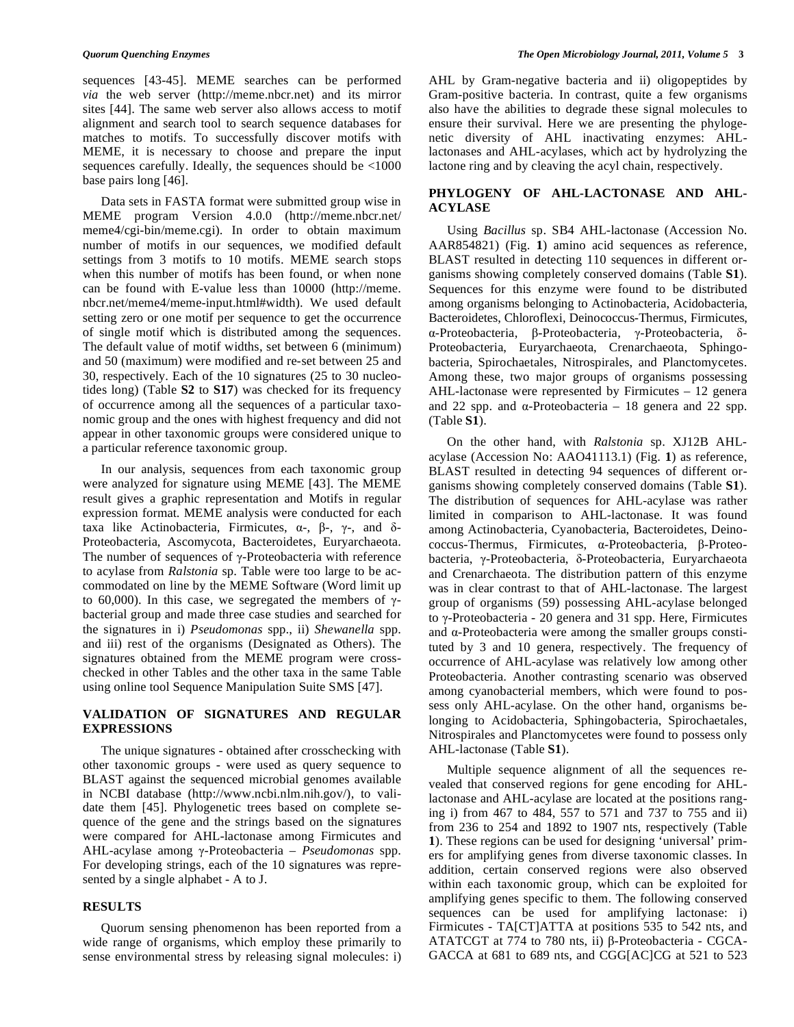sequences [43-45]. MEME searches can be performed *via* the web server (http://meme.nbcr.net) and its mirror sites [44]. The same web server also allows access to motif alignment and search tool to search sequence databases for matches to motifs. To successfully discover motifs with MEME, it is necessary to choose and prepare the input sequences carefully. Ideally, the sequences should be <1000 base pairs long [46].

 Data sets in FASTA format were submitted group wise in MEME program Version 4.0.0 (http://meme.nbcr.net/ meme4/cgi-bin/meme.cgi). In order to obtain maximum number of motifs in our sequences, we modified default settings from 3 motifs to 10 motifs. MEME search stops when this number of motifs has been found, or when none can be found with E-value less than 10000 (http://meme. nbcr.net/meme4/meme-input.html#width). We used default setting zero or one motif per sequence to get the occurrence of single motif which is distributed among the sequences. The default value of motif widths, set between 6 (minimum) and 50 (maximum) were modified and re-set between 25 and 30, respectively. Each of the 10 signatures (25 to 30 nucleotides long) (Table **S2** to **S17**) was checked for its frequency of occurrence among all the sequences of a particular taxonomic group and the ones with highest frequency and did not appear in other taxonomic groups were considered unique to a particular reference taxonomic group.

 In our analysis, sequences from each taxonomic group were analyzed for signature using MEME [43]. The MEME result gives a graphic representation and Motifs in regular expression format. MEME analysis were conducted for each taxa like Actinobacteria, Firmicutes,  $\alpha$ -,  $\beta$ -,  $\gamma$ -, and  $\delta$ -Proteobacteria, Ascomycota, Bacteroidetes, Euryarchaeota. The number of sequences of  $\gamma$ -Proteobacteria with reference to acylase from *Ralstonia* sp. Table were too large to be accommodated on line by the MEME Software (Word limit up to 60,000). In this case, we segregated the members of  $\gamma$ bacterial group and made three case studies and searched for the signatures in i) *Pseudomonas* spp., ii) *Shewanella* spp. and iii) rest of the organisms (Designated as Others). The signatures obtained from the MEME program were crosschecked in other Tables and the other taxa in the same Table using online tool Sequence Manipulation Suite SMS [47].

## **VALIDATION OF SIGNATURES AND REGULAR EXPRESSIONS**

 The unique signatures - obtained after crosschecking with other taxonomic groups - were used as query sequence to BLAST against the sequenced microbial genomes available in NCBI database (http://www.ncbi.nlm.nih.gov/), to validate them [45]. Phylogenetic trees based on complete sequence of the gene and the strings based on the signatures were compared for AHL-lactonase among Firmicutes and AHL-acylase among γ-Proteobacteria – *Pseudomonas* spp. For developing strings, each of the 10 signatures was represented by a single alphabet - A to J.

#### **RESULTS**

 Quorum sensing phenomenon has been reported from a wide range of organisms, which employ these primarily to sense environmental stress by releasing signal molecules: i) AHL by Gram-negative bacteria and ii) oligopeptides by Gram-positive bacteria. In contrast, quite a few organisms also have the abilities to degrade these signal molecules to ensure their survival. Here we are presenting the phylogenetic diversity of AHL inactivating enzymes: AHLlactonases and AHL-acylases, which act by hydrolyzing the lactone ring and by cleaving the acyl chain, respectively.

# **PHYLOGENY OF AHL-LACTONASE AND AHL-ACYLASE**

 Using *Bacillus* sp. SB4 AHL-lactonase (Accession No. AAR854821) (Fig. **1**) amino acid sequences as reference, BLAST resulted in detecting 110 sequences in different organisms showing completely conserved domains (Table **S1**). Sequences for this enzyme were found to be distributed among organisms belonging to Actinobacteria, Acidobacteria, Bacteroidetes, Chloroflexi, Deinococcus-Thermus, Firmicutes, α-Proteobacteria, β-Proteobacteria, γ-Proteobacteria, δ-Proteobacteria, Euryarchaeota, Crenarchaeota, Sphingobacteria, Spirochaetales, Nitrospirales, and Planctomycetes. Among these, two major groups of organisms possessing AHL-lactonase were represented by Firmicutes – 12 genera and 22 spp. and  $\alpha$ -Proteobacteria – 18 genera and 22 spp. (Table **S1**).

 On the other hand, with *Ralstonia* sp. XJ12B AHLacylase (Accession No: AAO41113.1) (Fig. **1**) as reference, BLAST resulted in detecting 94 sequences of different organisms showing completely conserved domains (Table **S1**). The distribution of sequences for AHL-acylase was rather limited in comparison to AHL-lactonase. It was found among Actinobacteria, Cyanobacteria, Bacteroidetes, Deino $coccus$ -Thermus, Firmicutes,  $\alpha$ -Proteobacteria,  $\beta$ -Proteobacteria, y-Proteobacteria, δ-Proteobacteria, Euryarchaeota and Crenarchaeota. The distribution pattern of this enzyme was in clear contrast to that of AHL-lactonase. The largest group of organisms (59) possessing AHL-acylase belonged to  $\gamma$ -Proteobacteria - 20 genera and 31 spp. Here, Firmicutes and  $\alpha$ -Proteobacteria were among the smaller groups constituted by 3 and 10 genera, respectively. The frequency of occurrence of AHL-acylase was relatively low among other Proteobacteria. Another contrasting scenario was observed among cyanobacterial members, which were found to possess only AHL-acylase. On the other hand, organisms belonging to Acidobacteria, Sphingobacteria, Spirochaetales, Nitrospirales and Planctomycetes were found to possess only AHL-lactonase (Table **S1**).

 Multiple sequence alignment of all the sequences revealed that conserved regions for gene encoding for AHLlactonase and AHL-acylase are located at the positions ranging i) from 467 to 484, 557 to 571 and 737 to 755 and ii) from 236 to 254 and 1892 to 1907 nts, respectively (Table **1**). These regions can be used for designing 'universal' primers for amplifying genes from diverse taxonomic classes. In addition, certain conserved regions were also observed within each taxonomic group, which can be exploited for amplifying genes specific to them. The following conserved sequences can be used for amplifying lactonase: i) Firmicutes - TA[CT]ATTA at positions 535 to 542 nts, and ATATCGT at 774 to 780 nts, ii)  $\beta$ -Proteobacteria - CGCA-GACCA at 681 to 689 nts, and CGG[AC]CG at 521 to 523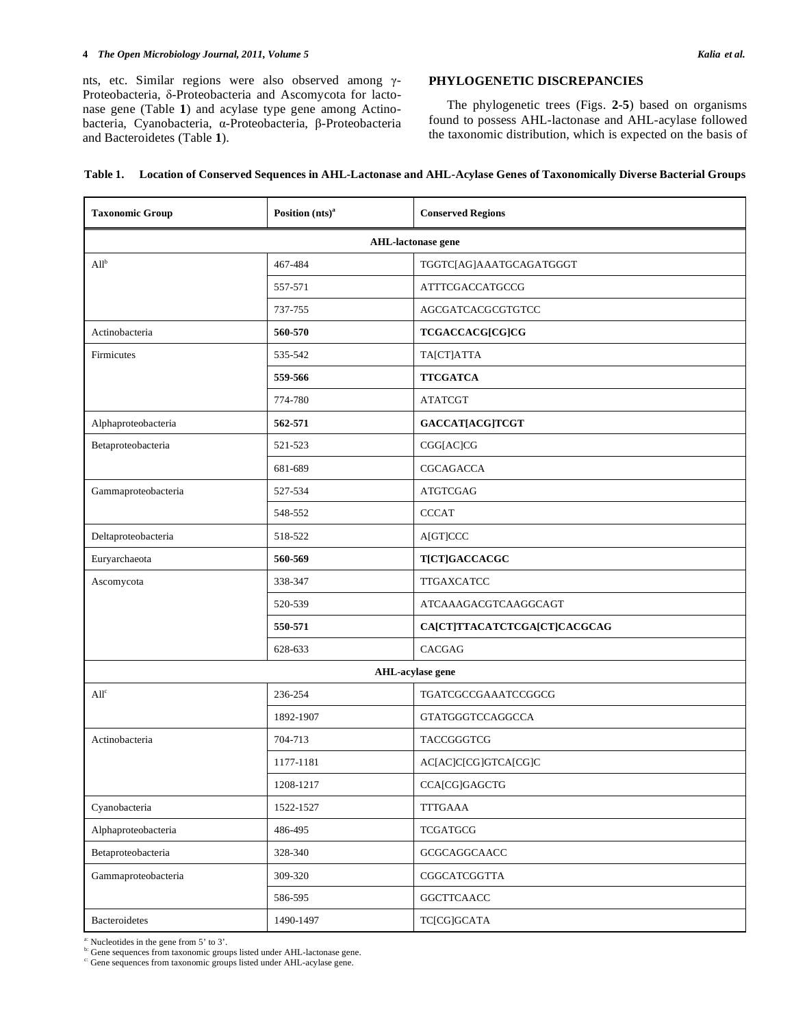#### **4** *The Open Microbiology Journal, 2011, Volume 5 Kalia et al.*

nts, etc. Similar regions were also observed among  $\gamma$ -Proteobacteria,  $\delta$ -Proteobacteria and Ascomycota for lactonase gene (Table **1**) and acylase type gene among Actinobacteria, Cyanobacteria,  $\alpha$ -Proteobacteria,  $\beta$ -Proteobacteria and Bacteroidetes (Table **1**).

# **PHYLOGENETIC DISCREPANCIES**

 The phylogenetic trees (Figs. **2**-**5**) based on organisms found to possess AHL-lactonase and AHL-acylase followed the taxonomic distribution, which is expected on the basis of

|  |  | Table 1. Location of Conserved Sequences in AHL-Lactonase and AHL-Acylase Genes of Taxonomically Diverse Bacterial Groups |  |  |  |
|--|--|---------------------------------------------------------------------------------------------------------------------------|--|--|--|
|--|--|---------------------------------------------------------------------------------------------------------------------------|--|--|--|

| <b>Taxonomic Group</b>                        | Position $(nts)^a$    | <b>Conserved Regions</b>     |  |  |  |
|-----------------------------------------------|-----------------------|------------------------------|--|--|--|
| <b>AHL-lactonase gene</b>                     |                       |                              |  |  |  |
| $All^b$                                       | 467-484               | TGGTC[AG]AAATGCAGATGGGT      |  |  |  |
|                                               | 557-571               | ATTTCGACCATGCCG              |  |  |  |
|                                               | 737-755               | AGCGATCACGCGTGTCC            |  |  |  |
| Actinobacteria                                | 560-570               | TCGACCACG[CG]CG              |  |  |  |
| Firmicutes                                    | TA[CT]ATTA<br>535-542 |                              |  |  |  |
|                                               | 559-566               | <b>TTCGATCA</b>              |  |  |  |
|                                               | 774-780               | <b>ATATCGT</b>               |  |  |  |
| Alphaproteobacteria                           | 562-571               | GACCAT[ACG]TCGT              |  |  |  |
| Betaproteobacteria                            | 521-523               | CGG[AC]CG                    |  |  |  |
|                                               | 681-689               | CGCAGACCA                    |  |  |  |
| Gammaproteobacteria                           | 527-534               | <b>ATGTCGAG</b>              |  |  |  |
|                                               | 548-552               | <b>CCCAT</b>                 |  |  |  |
| Deltaproteobacteria                           | 518-522               | A[GT]CCC                     |  |  |  |
| Euryarchaeota                                 | 560-569               | <b>T[CT]GACCACGC</b>         |  |  |  |
| Ascomycota                                    | 338-347               | <b>TTGAXCATCC</b>            |  |  |  |
|                                               | 520-539               | ATCAAAGACGTCAAGGCAGT         |  |  |  |
|                                               | 550-571               | CA[CT]TTACATCTCGA[CT]CACGCAG |  |  |  |
|                                               | 628-633               | CACGAG                       |  |  |  |
|                                               |                       | AHL-acylase gene             |  |  |  |
| All <sup>c</sup>                              | 236-254               | TGATCGCCGAAATCCGGCG          |  |  |  |
|                                               | 1892-1907             | <b>GTATGGGTCCAGGCCA</b>      |  |  |  |
| Actinobacteria                                | 704-713               | TACCGGGTCG                   |  |  |  |
|                                               | 1177-1181             | AC[AC]C[CG]GTCA[CG]C         |  |  |  |
|                                               | 1208-1217             | CCA[CG]GAGCTG                |  |  |  |
| Cyanobacteria                                 | 1522-1527             | <b>TTTGAAA</b>               |  |  |  |
| Alphaproteobacteria                           | 486-495               | <b>TCGATGCG</b>              |  |  |  |
| Betaproteobacteria<br>328-340<br>GCGCAGGCAACC |                       |                              |  |  |  |
| Gammaproteobacteria                           | 309-320               | CGGCATCGGTTA                 |  |  |  |
|                                               | 586-595               | <b>GGCTTCAACC</b>            |  |  |  |
| Bacteroidetes                                 | 1490-1497             | TC[CG]GCATA                  |  |  |  |

<sup>a:</sup> Nucleotides in the gene from 5' to 3'.<br><sup>b:</sup> Gene sequences from taxonomic groups listed under AHL-lactonase gene.

c: Gene sequences from taxonomic groups listed under AHL-acylase gene.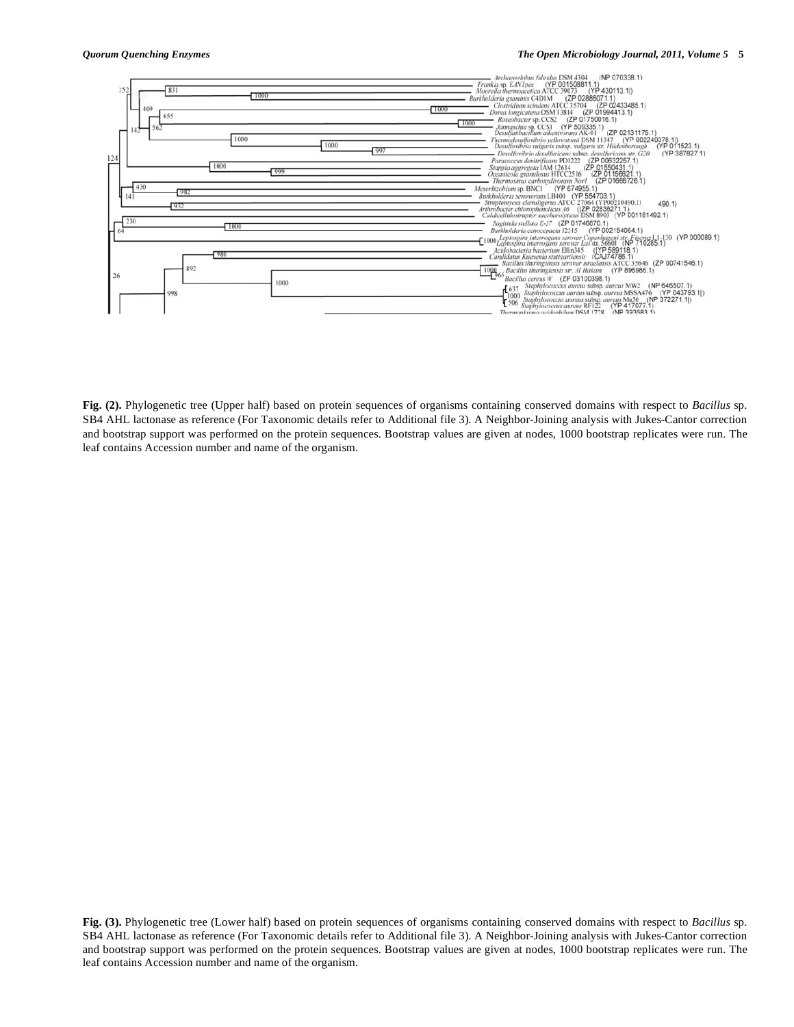**Fig. (2).** Phylogenetic tree (Upper half) based on protein sequences of organisms containing conserved domains with respect to *Bacillus* sp. SB4 AHL lactonase as reference (For Taxonomic details refer to Additional file 3). A Neighbor-Joining analysis with Jukes-Cantor correction and bootstrap support was performed on the protein sequences. Bootstrap values are given at nodes, 1000 bootstrap replicates were run. The leaf contains Accession number and name of the organism.

**Fig. (3).** Phylogenetic tree (Lower half) based on protein sequences of organisms containing conserved domains with respect to *Bacillus* sp. SB4 AHL lactonase as reference (For Taxonomic details refer to Additional file 3). A Neighbor-Joining analysis with Jukes-Cantor correction and bootstrap support was performed on the protein sequences. Bootstrap values are given at nodes, 1000 bootstrap replicates were run. The leaf contains Accession number and name of the organism.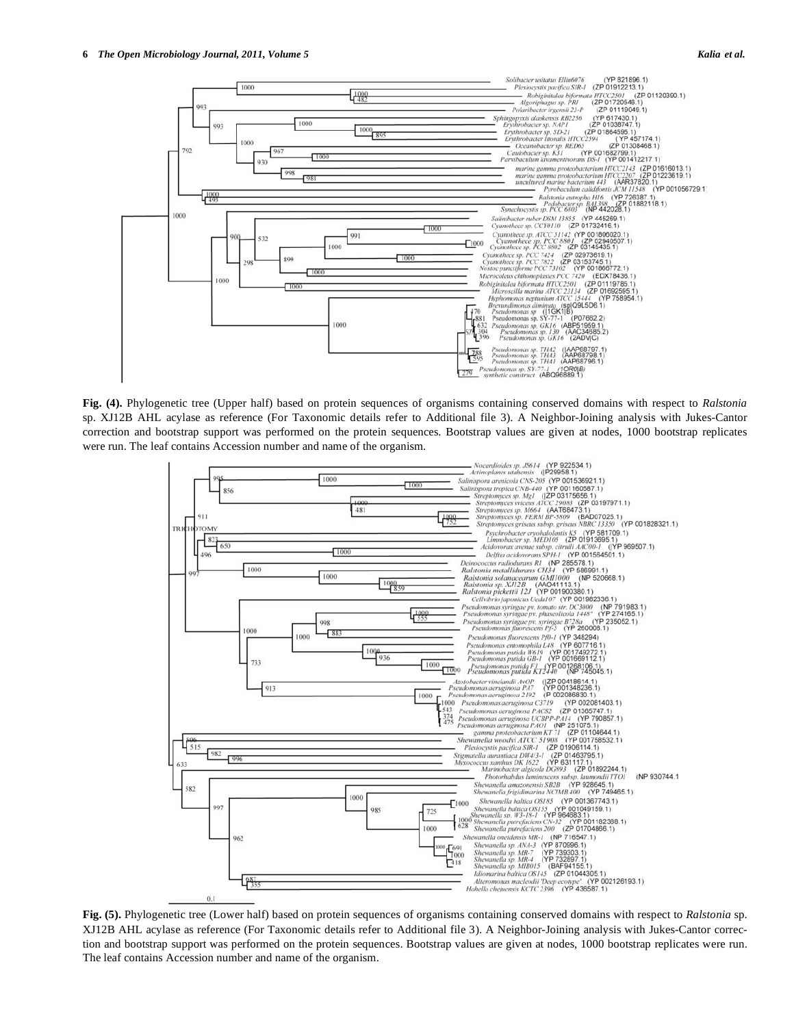

**Fig. (4).** Phylogenetic tree (Upper half) based on protein sequences of organisms containing conserved domains with respect to *Ralstonia* sp. XJ12B AHL acylase as reference (For Taxonomic details refer to Additional file 3). A Neighbor-Joining analysis with Jukes-Cantor correction and bootstrap support was performed on the protein sequences. Bootstrap values are given at nodes, 1000 bootstrap replicates were run. The leaf contains Accession number and name of the organism.



**Fig. (5).** Phylogenetic tree (Lower half) based on protein sequences of organisms containing conserved domains with respect to *Ralstonia* sp. XJ12B AHL acylase as reference (For Taxonomic details refer to Additional file 3). A Neighbor-Joining analysis with Jukes-Cantor correction and bootstrap support was performed on the protein sequences. Bootstrap values are given at nodes, 1000 bootstrap replicates were run. The leaf contains Accession number and name of the organism.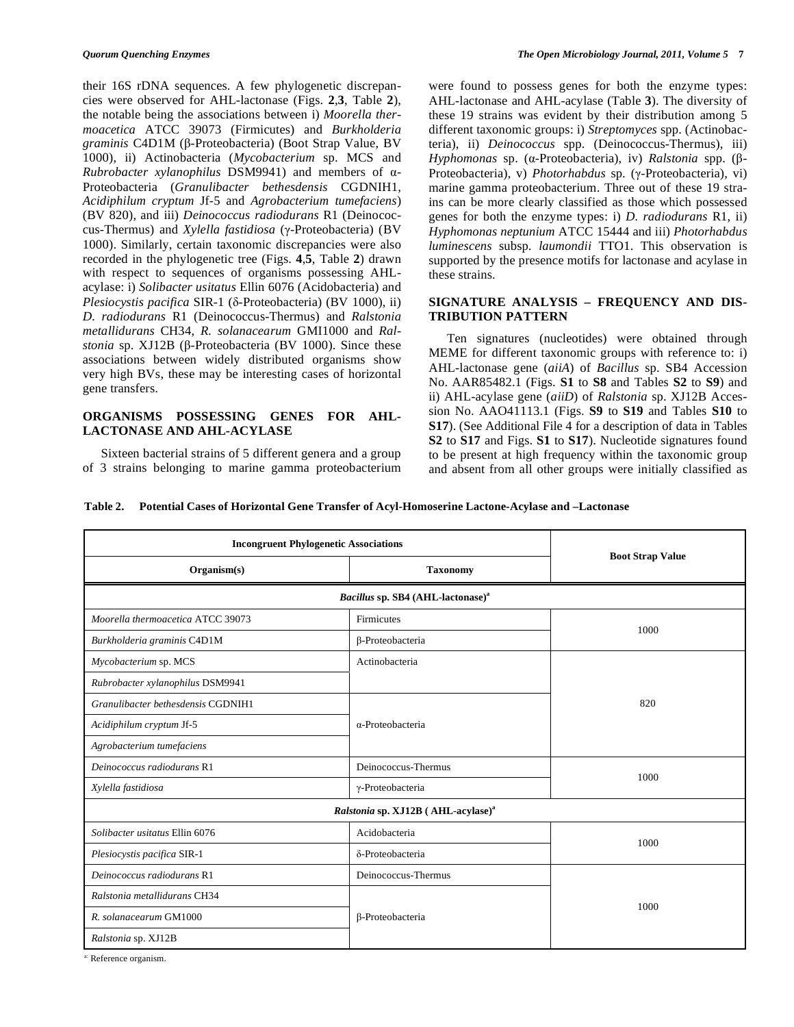their 16S rDNA sequences. A few phylogenetic discrepancies were observed for AHL-lactonase (Figs. **2**,**3**, Table **2**), the notable being the associations between i) *Moorella thermoacetica* ATCC 39073 (Firmicutes) and *Burkholderia graminis* C4D1M (β-Proteobacteria) (Boot Strap Value, BV 1000), ii) Actinobacteria (*Mycobacterium* sp. MCS and  $Rubrobacter$  *xylanophilus* DSM9941) and members of  $\alpha$ -Proteobacteria (*Granulibacter bethesdensis* CGDNIH1, *Acidiphilum cryptum* Jf-5 and *Agrobacterium tumefaciens*) (BV 820), and iii) *Deinococcus radiodurans* R1 (Deinococcus-Thermus) and *Xylella fastidiosa* (y-Proteobacteria) (BV 1000). Similarly, certain taxonomic discrepancies were also recorded in the phylogenetic tree (Figs. **4**,**5**, Table **2**) drawn with respect to sequences of organisms possessing AHLacylase: i) *Solibacter usitatus* Ellin 6076 (Acidobacteria) and Plesiocystis pacifica SIR-1 ( $\delta$ -Proteobacteria) (BV 1000), ii) *D. radiodurans* R1 (Deinococcus-Thermus) and *Ralstonia metallidurans* CH34, *R. solanacearum* GMI1000 and *Ralstonia* sp. XJ12B (β-Proteobacteria (BV 1000). Since these associations between widely distributed organisms show very high BVs, these may be interesting cases of horizontal gene transfers.

# **ORGANISMS POSSESSING GENES FOR AHL-LACTONASE AND AHL-ACYLASE**

 Sixteen bacterial strains of 5 different genera and a group of 3 strains belonging to marine gamma proteobacterium were found to possess genes for both the enzyme types: AHL-lactonase and AHL-acylase (Table **3**). The diversity of these 19 strains was evident by their distribution among 5 different taxonomic groups: i) *Streptomyces* spp. (Actinobacteria), ii) *Deinococcus* spp. (Deinococcus-Thermus), iii) *Hyphomonas* sp. (α-Proteobacteria), iv) *Ralstonia* spp. (β-Proteobacteria), v) *Photorhabdus* sp. (γ-Proteobacteria), vi) marine gamma proteobacterium. Three out of these 19 strains can be more clearly classified as those which possessed genes for both the enzyme types: i) *D. radiodurans* R1, ii) *Hyphomonas neptunium* ATCC 15444 and iii) *Photorhabdus luminescens* subsp*. laumondii* TTO1. This observation is supported by the presence motifs for lactonase and acylase in these strains.

### **SIGNATURE ANALYSIS – FREQUENCY AND DIS-TRIBUTION PATTERN**

 Ten signatures (nucleotides) were obtained through MEME for different taxonomic groups with reference to: i) AHL-lactonase gene (*aiiA*) of *Bacillus* sp. SB4 Accession No. AAR85482.1 (Figs. **S1** to **S8** and Tables **S2** to **S9**) and ii) AHL-acylase gene (*aiiD*) of *Ralstonia* sp. XJ12B Accession No. AAO41113.1 (Figs. **S9** to **S19** and Tables **S10** to **S17**). (See Additional File 4 for a description of data in Tables **S2** to **S17** and Figs. **S1** to **S17**). Nucleotide signatures found to be present at high frequency within the taxonomic group and absent from all other groups were initially classified as

**Table 2. Potential Cases of Horizontal Gene Transfer of Acyl-Homoserine Lactone-Acylase and –Lactonase** 

| <b>Boot Strap Value</b><br>Organism(s)<br><b>Taxonomy</b><br>Bacillus sp. SB4 (AHL-lactonase) <sup>a</sup><br>Moorella thermoacetica ATCC 39073<br>Firmicutes<br>1000<br>β-Proteobacteria<br>Burkholderia graminis C4D1M<br>Mycobacterium sp. MCS<br>Actinobacteria<br>Rubrobacter xylanophilus DSM9941<br>Granulibacter bethesdensis CGDNIH1<br>820<br>$\alpha$ -Proteobacteria<br>Acidiphilum cryptum Jf-5<br>Agrobacterium tumefaciens<br>Deinococcus radiodurans R1<br>Deinococcus-Thermus<br>1000<br>Xylella fastidiosa<br>γ-Proteobacteria<br>Ralstonia sp. XJ12B (AHL-acylase) <sup>a</sup><br>Solibacter usitatus Ellin 6076<br>Acidobacteria<br>1000<br>δ-Proteobacteria<br>Plesiocystis pacifica SIR-1<br>Deinococcus-Thermus<br>Deinococcus radiodurans R1<br>Ralstonia metallidurans CH34 | <b>Incongruent Phylogenetic Associations</b> |  |  |  |
|-------------------------------------------------------------------------------------------------------------------------------------------------------------------------------------------------------------------------------------------------------------------------------------------------------------------------------------------------------------------------------------------------------------------------------------------------------------------------------------------------------------------------------------------------------------------------------------------------------------------------------------------------------------------------------------------------------------------------------------------------------------------------------------------------------|----------------------------------------------|--|--|--|
|                                                                                                                                                                                                                                                                                                                                                                                                                                                                                                                                                                                                                                                                                                                                                                                                       |                                              |  |  |  |
|                                                                                                                                                                                                                                                                                                                                                                                                                                                                                                                                                                                                                                                                                                                                                                                                       |                                              |  |  |  |
|                                                                                                                                                                                                                                                                                                                                                                                                                                                                                                                                                                                                                                                                                                                                                                                                       |                                              |  |  |  |
|                                                                                                                                                                                                                                                                                                                                                                                                                                                                                                                                                                                                                                                                                                                                                                                                       |                                              |  |  |  |
|                                                                                                                                                                                                                                                                                                                                                                                                                                                                                                                                                                                                                                                                                                                                                                                                       |                                              |  |  |  |
|                                                                                                                                                                                                                                                                                                                                                                                                                                                                                                                                                                                                                                                                                                                                                                                                       |                                              |  |  |  |
|                                                                                                                                                                                                                                                                                                                                                                                                                                                                                                                                                                                                                                                                                                                                                                                                       |                                              |  |  |  |
|                                                                                                                                                                                                                                                                                                                                                                                                                                                                                                                                                                                                                                                                                                                                                                                                       |                                              |  |  |  |
|                                                                                                                                                                                                                                                                                                                                                                                                                                                                                                                                                                                                                                                                                                                                                                                                       |                                              |  |  |  |
|                                                                                                                                                                                                                                                                                                                                                                                                                                                                                                                                                                                                                                                                                                                                                                                                       |                                              |  |  |  |
|                                                                                                                                                                                                                                                                                                                                                                                                                                                                                                                                                                                                                                                                                                                                                                                                       |                                              |  |  |  |
|                                                                                                                                                                                                                                                                                                                                                                                                                                                                                                                                                                                                                                                                                                                                                                                                       |                                              |  |  |  |
|                                                                                                                                                                                                                                                                                                                                                                                                                                                                                                                                                                                                                                                                                                                                                                                                       |                                              |  |  |  |
|                                                                                                                                                                                                                                                                                                                                                                                                                                                                                                                                                                                                                                                                                                                                                                                                       |                                              |  |  |  |
|                                                                                                                                                                                                                                                                                                                                                                                                                                                                                                                                                                                                                                                                                                                                                                                                       |                                              |  |  |  |
|                                                                                                                                                                                                                                                                                                                                                                                                                                                                                                                                                                                                                                                                                                                                                                                                       |                                              |  |  |  |
| 1000<br>R. solanacearum GM1000<br>β-Proteobacteria                                                                                                                                                                                                                                                                                                                                                                                                                                                                                                                                                                                                                                                                                                                                                    |                                              |  |  |  |
| Ralstonia sp. XJ12B                                                                                                                                                                                                                                                                                                                                                                                                                                                                                                                                                                                                                                                                                                                                                                                   |                                              |  |  |  |

Reference organism.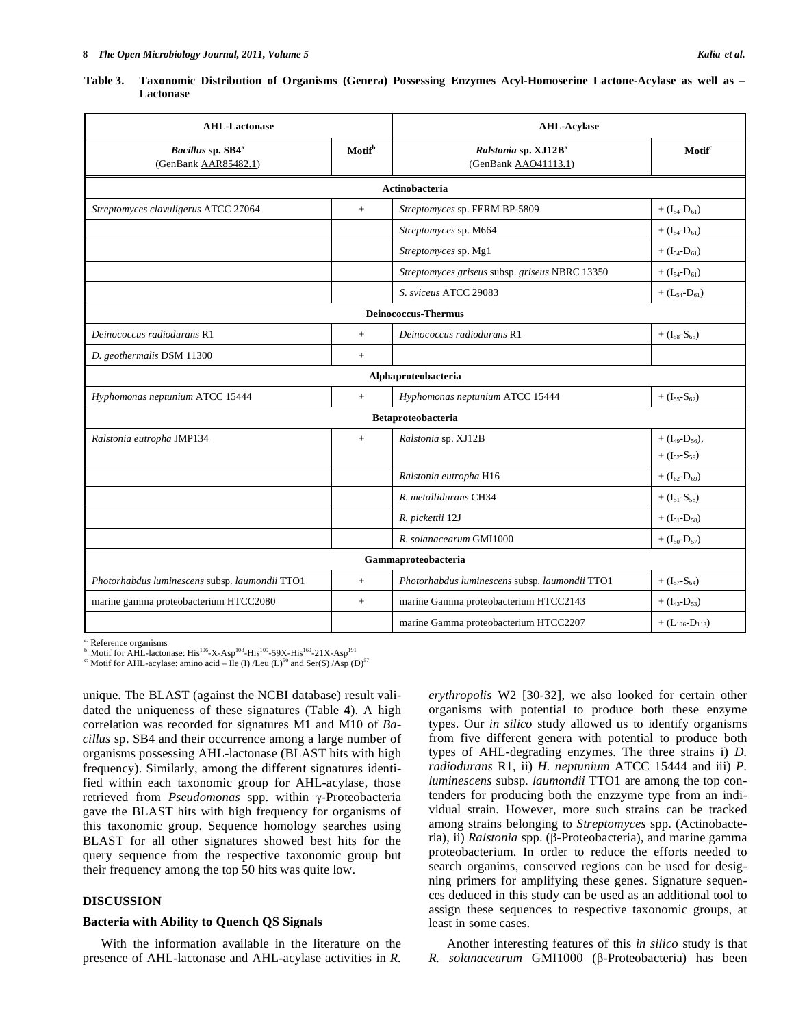|           |  |  | Table 3. Taxonomic Distribution of Organisms (Genera) Possessing Enzymes Acyl-Homoserine Lactone-Acylase as well as - |  |  |
|-----------|--|--|-----------------------------------------------------------------------------------------------------------------------|--|--|
| Lactonase |  |  |                                                                                                                       |  |  |

| <b>AHL-Lactonase</b><br>Motif <sup>b</sup><br>Bacillus sp. SB4 <sup>a</sup><br>(GenBank AAR85482.1) |        | <b>AHL-Acylase</b>                                       |                                                          |  |  |
|-----------------------------------------------------------------------------------------------------|--------|----------------------------------------------------------|----------------------------------------------------------|--|--|
|                                                                                                     |        | Ralstonia sp. XJ12B <sup>a</sup><br>(GenBank AAO41113.1) | Motif <sup>c</sup>                                       |  |  |
|                                                                                                     |        | Actinobacteria                                           |                                                          |  |  |
| Streptomyces clavuligerus ATCC 27064                                                                | $+$    | Streptomyces sp. FERM BP-5809                            | + $(I_{54}$ - $D_{61})$                                  |  |  |
|                                                                                                     |        | Streptomyces sp. M664                                    | + $(I_{54}$ - $D_{61})$                                  |  |  |
|                                                                                                     |        | Streptomyces sp. Mg1                                     | + $(I_{54}$ - $D_{61})$                                  |  |  |
|                                                                                                     |        | Streptomyces griseus subsp. griseus NBRC 13350           | + $(I_{54} - D_{61})$                                    |  |  |
|                                                                                                     |        | S. sviceus ATCC 29083                                    | + $(L_{54}$ - $D_{61})$                                  |  |  |
|                                                                                                     |        | <b>Deinococcus-Thermus</b>                               |                                                          |  |  |
| Deinococcus radiodurans R1                                                                          | $^{+}$ | Deinococcus radiodurans R1                               | $+ (I_{58} - S_{65})$                                    |  |  |
| D. geothermalis DSM 11300                                                                           | $+$    |                                                          |                                                          |  |  |
|                                                                                                     |        | Alphaproteobacteria                                      |                                                          |  |  |
| Hyphomonas neptunium ATCC 15444                                                                     | $^{+}$ | Hyphomonas neptunium ATCC 15444                          | + $(I_{55} - S_{62})$                                    |  |  |
|                                                                                                     |        | <b>Betaproteobacteria</b>                                |                                                          |  |  |
| Ralstonia eutropha JMP134                                                                           | $^{+}$ | Ralstonia sp. XJ12B                                      | + $(I_{49}$ -D <sub>56</sub> ),<br>$+ (I_{52} - S_{59})$ |  |  |
|                                                                                                     |        | Ralstonia eutropha H16                                   | + $(I_{62}$ -D <sub>69</sub> )                           |  |  |
|                                                                                                     |        | R. metallidurans CH34                                    | $+ (I_{51} - S_{58})$                                    |  |  |
|                                                                                                     |        | R. pickettii 12J                                         | + $(I_{51}$ -D <sub>58</sub> )                           |  |  |
|                                                                                                     |        | R. solanacearum GMI1000                                  | + $(I_{50}$ -D <sub>57</sub> )                           |  |  |
|                                                                                                     |        | Gammaproteobacteria                                      |                                                          |  |  |
| Photorhabdus luminescens subsp. laumondii TTO1                                                      | $+$    | Photorhabdus luminescens subsp. laumondii TTO1           | + $(I_{57} - S_{64})$                                    |  |  |
| marine gamma proteobacterium HTCC2080                                                               | $+$    | marine Gamma proteobacterium HTCC2143                    | $+ (I_{43} - D_{53})$                                    |  |  |
|                                                                                                     |        | marine Gamma proteobacterium HTCC2207                    | + $(L_{106} - D_{113})$                                  |  |  |

a: Reference organisms

 $^{16}$ : Motif for AHL-lactonase: His<sup>106</sup>-X-Asp<sup>108</sup>-His<sup>109</sup>-59X-His<sup>169</sup>-21X-Asp<sup>191</sup>

<sup>c:</sup> Motif for AHL-acylase: amino acid –  $\text{I}$ le (I) /Leu (L)<sup>50</sup> and Ser(S) /Asp (D)<sup>57</sup>

unique. The BLAST (against the NCBI database) result validated the uniqueness of these signatures (Table **4**). A high correlation was recorded for signatures M1 and M10 of *Bacillus* sp. SB4 and their occurrence among a large number of organisms possessing AHL-lactonase (BLAST hits with high frequency). Similarly, among the different signatures identified within each taxonomic group for AHL-acylase, those retrieved from *Pseudomonas* spp. within y-Proteobacteria gave the BLAST hits with high frequency for organisms of this taxonomic group. Sequence homology searches using BLAST for all other signatures showed best hits for the query sequence from the respective taxonomic group but their frequency among the top 50 hits was quite low.

#### **DISCUSSION**

#### **Bacteria with Ability to Quench QS Signals**

 With the information available in the literature on the presence of AHL-lactonase and AHL-acylase activities in *R.* 

*erythropolis* W2 [30-32], we also looked for certain other organisms with potential to produce both these enzyme types. Our *in silico* study allowed us to identify organisms from five different genera with potential to produce both types of AHL-degrading enzymes. The three strains i) *D. radiodurans* R1, ii) *H. neptunium* ATCC 15444 and iii) *P. luminescens* subsp*. laumondii* TTO1 are among the top contenders for producing both the enzzyme type from an individual strain. However, more such strains can be tracked among strains belonging to *Streptomyces* spp. (Actinobacteria), ii) *Ralstonia* spp. (β-Proteobacteria), and marine gamma proteobacterium. In order to reduce the efforts needed to search organims, conserved regions can be used for designing primers for amplifying these genes. Signature sequences deduced in this study can be used as an additional tool to assign these sequences to respective taxonomic groups, at least in some cases.

 Another interesting features of this *in silico* study is that *R. solanacearum* GMI1000 (β-Proteobacteria) has been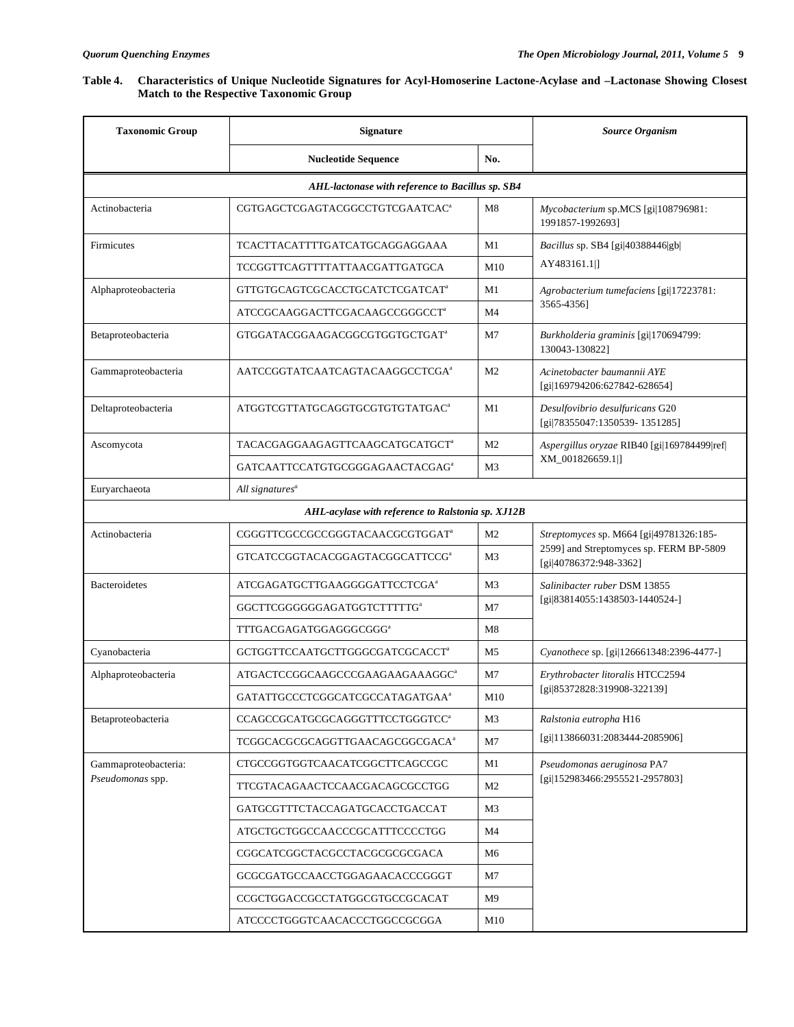| Table 4. Characteristics of Unique Nucleotide Signatures for Acyl-Homoserine Lactone-Acylase and -Lactonase Showing Closest |
|-----------------------------------------------------------------------------------------------------------------------------|
| <b>Match to the Respective Taxonomic Group</b>                                                                              |

| <b>Taxonomic Group</b>                            | <b>Signature</b><br><b>Nucleotide Sequence</b><br>No. |                | <b>Source Organism</b>                                            |  |  |  |
|---------------------------------------------------|-------------------------------------------------------|----------------|-------------------------------------------------------------------|--|--|--|
|                                                   |                                                       |                |                                                                   |  |  |  |
|                                                   | AHL-lactonase with reference to Bacillus sp. SB4      |                |                                                                   |  |  |  |
| Actinobacteria                                    | CGTGAGCTCGAGTACGGCCTGTCGAATCAC <sup>a</sup>           | M8             | Mycobacterium sp.MCS [gi 108796981:<br>1991857-1992693]           |  |  |  |
| Firmicutes                                        | TCACTTACATTTTGATCATGCAGGAGGAAA                        | M1             | Bacillus sp. SB4 [gi 40388446 gb                                  |  |  |  |
|                                                   | TCCGGTTCAGTTTTATTAACGATTGATGCA                        | M10            | AY483161.1 ]                                                      |  |  |  |
| Alphaproteobacteria                               | GTTGTGCAGTCGCACCTGCATCTCGATCAT <sup>a</sup>           | M1             | Agrobacterium tumefaciens [gi 17223781:                           |  |  |  |
|                                                   | ATCCGCAAGGACTTCGACAAGCCGGGCCT <sup>a</sup>            | M4             | 3565-4356]                                                        |  |  |  |
| Betaproteobacteria                                | GTGGATACGGAAGACGGCGTGGTGCTGAT <sup>a</sup>            | M7             | Burkholderia graminis [gi 170694799:<br>130043-130822]            |  |  |  |
| Gammaproteobacteria                               | AATCCGGTATCAATCAGTACAAGGCCTCGA <sup>a</sup>           | M <sub>2</sub> | Acinetobacter baumannii AYE<br>[gi 169794206:627842-628654]       |  |  |  |
| Deltaproteobacteria                               | ATGGTCGTTATGCAGGTGCGTGTGTATGAC <sup>a</sup>           | M1             | Desulfovibrio desulfuricans G20<br>[gi 78355047:1350539-1351285]  |  |  |  |
| Ascomycota                                        | TACACGAGGAAGAGTTCAAGCATGCATGCT <sup>a</sup>           | M <sub>2</sub> | Aspergillus oryzae RIB40 [gi 169784499 ref]                       |  |  |  |
|                                                   | GATCAATTCCATGTGCGGGAGAACTACGAG <sup>a</sup>           | M3             | XM 001826659.1 ]                                                  |  |  |  |
| Euryarchaeota                                     | All signatures <sup>a</sup>                           |                |                                                                   |  |  |  |
| AHL-acylase with reference to Ralstonia sp. XJ12B |                                                       |                |                                                                   |  |  |  |
| Actinobacteria                                    | CGGGTTCGCCGCCGGGTACAACGCGTGGAT <sup>a</sup>           | M <sub>2</sub> | Streptomyces sp. M664 [gi 49781326:185-                           |  |  |  |
|                                                   | GTCATCCGGTACACGGAGTACGGCATTCCG <sup>a</sup>           | M3             | 2599] and Streptomyces sp. FERM BP-5809<br>[gi 40786372:948-3362] |  |  |  |
| <b>Bacteroidetes</b>                              | ATCGAGATGCTTGAAGGGGATTCCTCGA <sup>a</sup>             | M <sub>3</sub> | Salinibacter ruber DSM 13855                                      |  |  |  |
|                                                   | GGCTTCGGGGGGAGATGGTCTTTTTG <sup>a</sup>               | M7             | [gi 83814055:1438503-1440524-]                                    |  |  |  |
|                                                   | TTTGACGAGATGGAGGGCGGG <sup>a</sup>                    | M8             |                                                                   |  |  |  |
| Cyanobacteria                                     | GCTGGTTCCAATGCTTGGGCGATCGCACCT <sup>a</sup>           | M <sub>5</sub> | Cyanothece sp. [gi]126661348:2396-4477-]                          |  |  |  |
| Alphaproteobacteria                               | ATGACTCCGGCAAGCCCGAAGAAGAAAGGC <sup>a</sup>           | M7             | Erythrobacter litoralis HTCC2594                                  |  |  |  |
|                                                   | GATATTGCCCTCGGCATCGCCATAGATGAA <sup>a</sup>           | M10            | [gi 85372828:319908-322139]                                       |  |  |  |
| Betaproteobacteria                                | CCAGCCGCATGCGCAGGGTTTCCTGGGTCC <sup>a</sup>           | M3             | Ralstonia eutropha H16                                            |  |  |  |
|                                                   | TCGGCACGCGCAGGTTGAACAGCGGCGACA <sup>a</sup>           | M7             | [gi 113866031:2083444-2085906]                                    |  |  |  |
| Gammaproteobacteria:                              | CTGCCGGTGGTCAACATCGGCTTCAGCCGC                        | M1             | Pseudomonas aeruginosa PA7                                        |  |  |  |
| Pseudomonas spp.                                  | TTCGTACAGAACTCCAACGACAGCGCCTGG                        | M <sub>2</sub> | [gi 152983466:2955521-2957803]                                    |  |  |  |
|                                                   | GATGCGTTTCTACCAGATGCACCTGACCAT                        | M3             |                                                                   |  |  |  |
|                                                   | ATGCTGCTGGCCAACCCGCATTTCCCCTGG                        | M4             |                                                                   |  |  |  |
|                                                   | CGGCATCGGCTACGCCTACGCGCGCGACA                         | M6             |                                                                   |  |  |  |
|                                                   | GCGCGATGCCAACCTGGAGAACACCCGGGT                        | M7             |                                                                   |  |  |  |
|                                                   | CCGCTGGACCGCCTATGGCGTGCCGCACAT                        | M <sub>9</sub> |                                                                   |  |  |  |
|                                                   | ATCCCCTGGGTCAACACCCTGGCCGCGGA                         | M10            |                                                                   |  |  |  |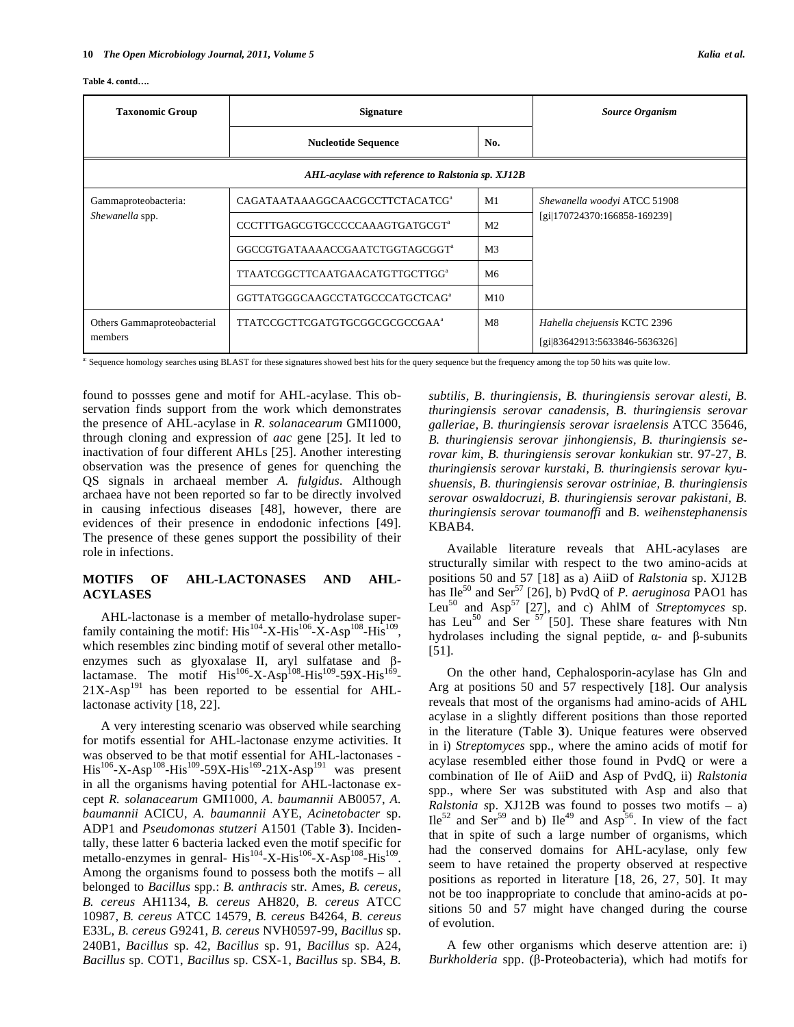#### **Table 4. contd….**

| <b>Taxonomic Group</b>                 | <b>Signature</b><br><b>Nucleotide Sequence</b><br>No. |                | Source Organism                                               |  |
|----------------------------------------|-------------------------------------------------------|----------------|---------------------------------------------------------------|--|
|                                        |                                                       |                |                                                               |  |
|                                        | AHL-acylase with reference to Ralstonia sp. XJ12B     |                |                                                               |  |
| Gammaproteobacteria:                   | CAGATAATAAAGGCAACGCCTTCTACATCG <sup>a</sup>           | M1             | Shewanella woodyi ATCC 51908                                  |  |
| Shewanella spp.                        | CCCTTTGAGCGTGCCCCCAAAGTGATGCGT <sup>a</sup>           | M <sub>2</sub> | [gi 170724370:166858-169239]                                  |  |
|                                        | GGCCGTGATAAAACCGAATCTGGTAGCGGT <sup>a</sup>           | M <sub>3</sub> |                                                               |  |
|                                        | TTAATCGGCTTCAATGAACATGTTGCTTGG <sup>a</sup>           | M6             |                                                               |  |
|                                        | GGTTATGGGCAAGCCTATGCCCATGCTCAG <sup>a</sup>           | M10            |                                                               |  |
| Others Gammaproteobacterial<br>members | TTATCCGCTTCGATGTGCGGCGCGCCGAA <sup>a</sup>            | M8             | Hahella chejuensis KCTC 2396<br>[gi 83642913:5633846-5636326] |  |

a: Sequence homology searches using BLAST for these signatures showed best hits for the query sequence but the frequency among the top 50 hits was quite low.

found to possses gene and motif for AHL-acylase. This observation finds support from the work which demonstrates the presence of AHL-acylase in *R. solanacearum* GMI1000, through cloning and expression of *aac* gene [25]. It led to inactivation of four different AHLs [25]. Another interesting observation was the presence of genes for quenching the QS signals in archaeal member *A. fulgidus.* Although archaea have not been reported so far to be directly involved in causing infectious diseases [48], however, there are evidences of their presence in endodonic infections [49]. The presence of these genes support the possibility of their role in infections.

## **MOTIFS OF AHL-LACTONASES AND AHL-ACYLASES**

 AHL-lactonase is a member of metallo-hydrolase superfamily containing the motif:  $His^{104} - X - His^{106} - X - Asp^{108} - His^{109}$ , which resembles zinc binding motif of several other metalloenzymes such as glyoxalase II, aryl sulfatase and  $\beta$ lactamase. The motif  $His^{106}$ -X-Asp<sup>108</sup>-His<sup>109</sup>-59X-His<sup>169</sup>- $21X-Asp<sup>191</sup>$  has been reported to be essential for AHLlactonase activity [18, 22].

 A very interesting scenario was observed while searching for motifs essential for AHL-lactonase enzyme activities. It was observed to be that motif essential for AHL-lactonases -  $His^{106} - X - Asp^{108} - His^{109} - 59X - His^{169} - 21X - Asp^{191}$  was present in all the organisms having potential for AHL-lactonase except *R. solanacearum* GMI1000, *A. baumannii* AB0057, *A. baumannii* ACICU, *A. baumannii* AYE, *Acinetobacter* sp. ADP1 and *Pseudomonas stutzeri* A1501 (Table **3**). Incidentally, these latter 6 bacteria lacked even the motif specific for metallo-enzymes in genral- His<sup>104</sup>-X-His<sup>106</sup>-X-Asp<sup>108</sup>-His<sup>109</sup>. Among the organisms found to possess both the motifs – all belonged to *Bacillus* spp.: *B. anthracis* str*.* Ames*, B. cereus, B. cereus* AH1134, *B. cereus* AH820, *B. cereus* ATCC 10987, *B. cereus* ATCC 14579, *B. cereus* B4264, *B. cereus*  E33L, *B. cereus* G9241, *B. cereus* NVH0597-99, *Bacillus* sp. 240B1, *Bacillus* sp. 42, *Bacillus* sp. 91, *Bacillus* sp. A24, *Bacillus* sp. COT1, *Bacillus* sp. CSX-1, *Bacillus* sp. SB4, *B.* 

*subtilis, B. thuringiensis, B. thuringiensis serovar alesti, B. thuringiensis serovar canadensis, B. thuringiensis serovar galleriae, B. thuringiensis serovar israelensis* ATCC 35646, *B. thuringiensis serovar jinhongiensis, B. thuringiensis serovar kim, B. thuringiensis serovar konkukian* str*.* 97-27, *B. thuringiensis serovar kurstaki, B. thuringiensis serovar kyushuensis, B. thuringiensis serovar ostriniae, B. thuringiensis serovar oswaldocruzi, B. thuringiensis serovar pakistani, B. thuringiensis serovar toumanoffi* and *B. weihenstephanensis*  KBAB4.

 Available literature reveals that AHL-acylases are structurally similar with respect to the two amino-acids at positions 50 and 57 [18] as a) AiiD of *Ralstonia* sp. XJ12B has  $\text{Ile}^{50}$  and  $\text{Ser}^{57}$  [26], b) PvdQ of *P. aeruginosa* PAO1 has Leu<sup>50</sup> and Asp<sup>57</sup> [27], and c) AhlM of *Streptomyces* sp. has Leu<sup>50</sup> and Ser  $57$  [50]. These share features with Ntn hydrolases including the signal peptide,  $\alpha$ - and  $\beta$ -subunits [51].

 On the other hand, Cephalosporin-acylase has Gln and Arg at positions 50 and 57 respectively [18]. Our analysis reveals that most of the organisms had amino-acids of AHL acylase in a slightly different positions than those reported in the literature (Table **3**). Unique features were observed in i) *Streptomyces* spp., where the amino acids of motif for acylase resembled either those found in PvdQ or were a combination of Ile of AiiD and Asp of PvdQ, ii) *Ralstonia*  spp., where Ser was substituted with Asp and also that *Ralstonia s*p. XJ12B was found to posses two motifs – a)  $Ile<sup>52</sup>$  and Ser<sup>59</sup> and b)  $Ile<sup>49</sup>$  and Asp<sup>56</sup>. In view of the fact that in spite of such a large number of organisms, which had the conserved domains for AHL-acylase, only few seem to have retained the property observed at respective positions as reported in literature [18, 26, 27, 50]. It may not be too inappropriate to conclude that amino-acids at positions 50 and 57 might have changed during the course of evolution.

 A few other organisms which deserve attention are: i) Burkholderia spp. (β-Proteobacteria), which had motifs for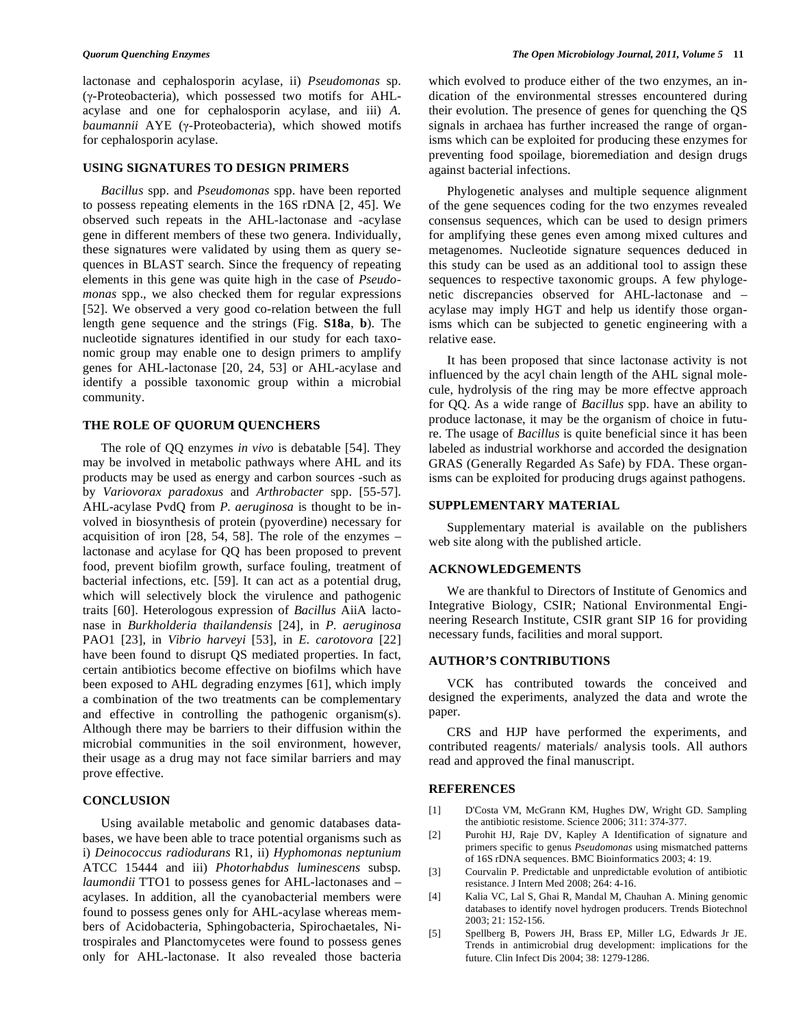lactonase and cephalosporin acylase, ii) *Pseudomonas* sp.  $(y-Proteobacteria)$ , which possessed two motifs for AHLacylase and one for cephalosporin acylase, and iii) *A. baumannii* AYE (γ-Proteobacteria), which showed motifs for cephalosporin acylase.

#### **USING SIGNATURES TO DESIGN PRIMERS**

 *Bacillus* spp. and *Pseudomonas* spp. have been reported to possess repeating elements in the 16S rDNA [2, 45]. We observed such repeats in the AHL-lactonase and -acylase gene in different members of these two genera. Individually, these signatures were validated by using them as query sequences in BLAST search. Since the frequency of repeating elements in this gene was quite high in the case of *Pseudomonas* spp., we also checked them for regular expressions [52]. We observed a very good co-relation between the full length gene sequence and the strings (Fig. **S18a**, **b**). The nucleotide signatures identified in our study for each taxonomic group may enable one to design primers to amplify genes for AHL-lactonase [20, 24, 53] or AHL-acylase and identify a possible taxonomic group within a microbial community.

#### **THE ROLE OF QUORUM QUENCHERS**

 The role of QQ enzymes *in vivo* is debatable [54]. They may be involved in metabolic pathways where AHL and its products may be used as energy and carbon sources -such as by *Variovorax paradoxus* and *Arthrobacter* spp. [55-57]. AHL-acylase PvdQ from *P. aeruginosa* is thought to be involved in biosynthesis of protein (pyoverdine) necessary for acquisition of iron [28, 54, 58]. The role of the enzymes – lactonase and acylase for QQ has been proposed to prevent food, prevent biofilm growth, surface fouling, treatment of bacterial infections, etc. [59]. It can act as a potential drug, which will selectively block the virulence and pathogenic traits [60]. Heterologous expression of *Bacillus* AiiA lactonase in *Burkholderia thailandensis* [24], in *P. aeruginosa* PAO1 [23], in *Vibrio harveyi* [53], in *E. carotovora* [22] have been found to disrupt QS mediated properties. In fact, certain antibiotics become effective on biofilms which have been exposed to AHL degrading enzymes [61], which imply a combination of the two treatments can be complementary and effective in controlling the pathogenic organism(s). Although there may be barriers to their diffusion within the microbial communities in the soil environment, however, their usage as a drug may not face similar barriers and may prove effective.

#### **CONCLUSION**

 Using available metabolic and genomic databases databases, we have been able to trace potential organisms such as i) *Deinococcus radiodurans* R1, ii) *Hyphomonas neptunium*  ATCC 15444 and iii) *Photorhabdus luminescens* subsp*. laumondii* TTO1 to possess genes for AHL-lactonases and – acylases. In addition, all the cyanobacterial members were found to possess genes only for AHL-acylase whereas members of Acidobacteria, Sphingobacteria, Spirochaetales, Nitrospirales and Planctomycetes were found to possess genes only for AHL-lactonase. It also revealed those bacteria which evolved to produce either of the two enzymes, an indication of the environmental stresses encountered during their evolution. The presence of genes for quenching the QS signals in archaea has further increased the range of organisms which can be exploited for producing these enzymes for preventing food spoilage, bioremediation and design drugs against bacterial infections.

 Phylogenetic analyses and multiple sequence alignment of the gene sequences coding for the two enzymes revealed consensus sequences, which can be used to design primers for amplifying these genes even among mixed cultures and metagenomes. Nucleotide signature sequences deduced in this study can be used as an additional tool to assign these sequences to respective taxonomic groups. A few phylogenetic discrepancies observed for AHL-lactonase and – acylase may imply HGT and help us identify those organisms which can be subjected to genetic engineering with a relative ease.

 It has been proposed that since lactonase activity is not influenced by the acyl chain length of the AHL signal molecule, hydrolysis of the ring may be more effectve approach for QQ. As a wide range of *Bacillus* spp. have an ability to produce lactonase, it may be the organism of choice in future. The usage of *Bacillus* is quite beneficial since it has been labeled as industrial workhorse and accorded the designation GRAS (Generally Regarded As Safe) by FDA. These organisms can be exploited for producing drugs against pathogens.

#### **SUPPLEMENTARY MATERIAL**

 Supplementary material is available on the publishers web site along with the published article.

#### **ACKNOWLEDGEMENTS**

 We are thankful to Directors of Institute of Genomics and Integrative Biology, CSIR; National Environmental Engineering Research Institute, CSIR grant SIP 16 for providing necessary funds, facilities and moral support.

#### **AUTHOR'S CONTRIBUTIONS**

 VCK has contributed towards the conceived and designed the experiments, analyzed the data and wrote the paper.

 CRS and HJP have performed the experiments, and contributed reagents/ materials/ analysis tools. All authors read and approved the final manuscript.

#### **REFERENCES**

- [1] D'Costa VM, McGrann KM, Hughes DW, Wright GD. Sampling the antibiotic resistome. Science 2006; 311: 374-377.
- [2] Purohit HJ, Raje DV, Kapley A Identification of signature and primers specific to genus *Pseudomonas* using mismatched patterns of 16S rDNA sequences. BMC Bioinformatics 2003; 4: 19.
- [3] Courvalin P. Predictable and unpredictable evolution of antibiotic resistance. J Intern Med 2008; 264: 4-16.
- [4] Kalia VC, Lal S, Ghai R, Mandal M, Chauhan A. Mining genomic databases to identify novel hydrogen producers. Trends Biotechnol 2003; 21: 152-156.
- [5] Spellberg B, Powers JH, Brass EP, Miller LG, Edwards Jr JE. Trends in antimicrobial drug development: implications for the future. Clin Infect Dis 2004; 38: 1279-1286.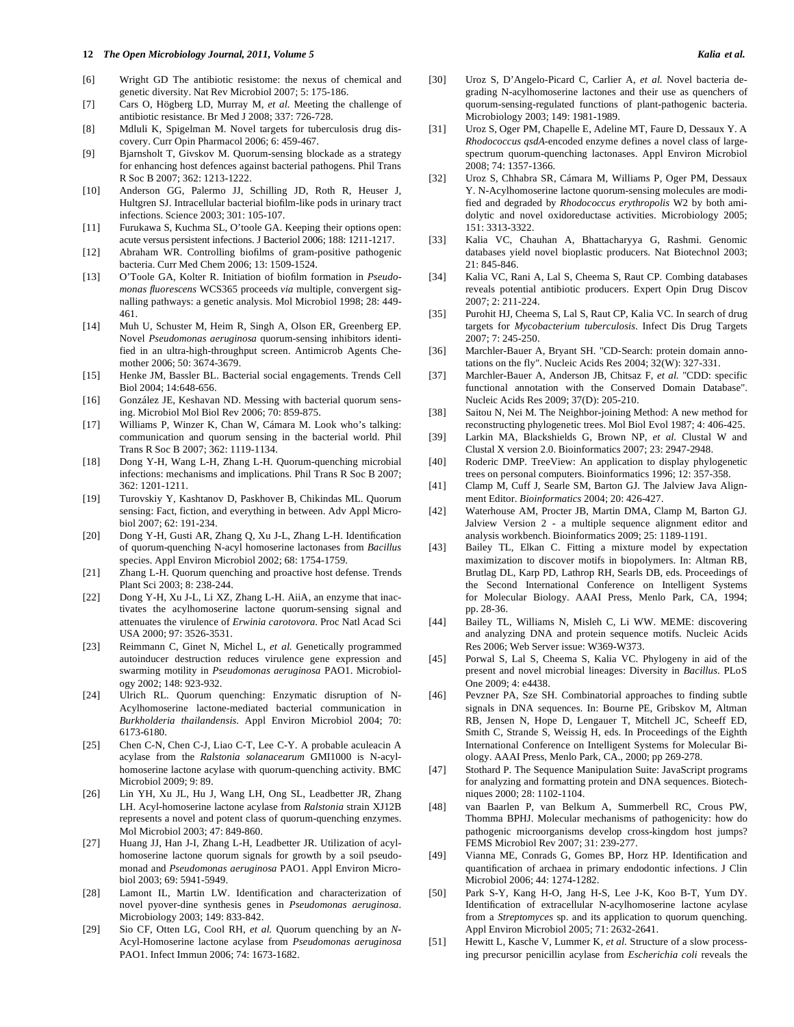#### **12** *The Open Microbiology Journal, 2011, Volume 5 Kalia et al.*

- [6] Wright GD The antibiotic resistome: the nexus of chemical and genetic diversity. Nat Rev Microbiol 2007; 5: 175-186.
- [7] Cars O, Högberg LD, Murray M, *et al.* Meeting the challenge of antibiotic resistance. Br Med J 2008; 337: 726-728.
- [8] Mdluli K, Spigelman M. Novel targets for tuberculosis drug discovery. Curr Opin Pharmacol 2006; 6: 459-467.
- [9] Bjarnsholt T, Givskov M. Quorum-sensing blockade as a strategy for enhancing host defences against bacterial pathogens. Phil Trans R Soc B 2007; 362: 1213-1222.
- [10] Anderson GG, Palermo JJ, Schilling JD, Roth R, Heuser J, Hultgren SJ. Intracellular bacterial biofilm-like pods in urinary tract infections. Science 2003; 301: 105-107.
- [11] Furukawa S, Kuchma SL, O'toole GA. Keeping their options open: acute versus persistent infections. J Bacteriol 2006; 188: 1211-1217.
- [12] Abraham WR. Controlling biofilms of gram-positive pathogenic bacteria. Curr Med Chem 2006; 13: 1509-1524.
- [13] O'Toole GA, Kolter R. Initiation of biofilm formation in *Pseudomonas fluorescens* WCS365 proceeds *via* multiple, convergent signalling pathways: a genetic analysis. Mol Microbiol 1998; 28: 449- 461.
- [14] Muh U, Schuster M, Heim R, Singh A, Olson ER, Greenberg EP. Novel *Pseudomonas aeruginosa* quorum-sensing inhibitors identified in an ultra-high-throughput screen. Antimicrob Agents Chemother 2006; 50: 3674-3679.
- [15] Henke JM, Bassler BL. Bacterial social engagements. Trends Cell Biol 2004; 14:648-656.
- [16] González JE, Keshavan ND. Messing with bacterial quorum sensing. Microbiol Mol Biol Rev 2006; 70: 859-875.
- [17] Williams P, Winzer K, Chan W, Cámara M. Look who's talking: communication and quorum sensing in the bacterial world. Phil Trans R Soc B 2007; 362: 1119-1134.
- [18] Dong Y-H, Wang L-H, Zhang L-H. Quorum-quenching microbial infections: mechanisms and implications. Phil Trans R Soc B 2007; 362: 1201-1211.
- [19] Turovskiy Y, Kashtanov D, Paskhover B, Chikindas ML. Quorum sensing: Fact, fiction, and everything in between. Adv Appl Microbiol 2007; 62: 191-234.
- [20] Dong Y-H, Gusti AR, Zhang Q, Xu J-L, Zhang L-H. Identification of quorum-quenching N-acyl homoserine lactonases from *Bacillus* species. Appl Environ Microbiol 2002; 68: 1754-1759.
- [21] Zhang L-H. Quorum quenching and proactive host defense. Trends Plant Sci 2003; 8: 238-244.
- [22] Dong Y-H, Xu J-L, Li XZ, Zhang L-H. AiiA, an enzyme that inactivates the acylhomoserine lactone quorum-sensing signal and attenuates the virulence of *Erwinia carotovora*. Proc Natl Acad Sci USA 2000; 97: 3526-3531.
- [23] Reimmann C, Ginet N, Michel L, *et al.* Genetically programmed autoinducer destruction reduces virulence gene expression and swarming motility in *Pseudomonas aeruginosa* PAO1. Microbiology 2002; 148: 923-932.
- [24] Ulrich RL. Quorum quenching: Enzymatic disruption of N-Acylhomoserine lactone-mediated bacterial communication in *Burkholderia thailandensis*. Appl Environ Microbiol 2004; 70: 6173-6180.
- [25] Chen C-N, Chen C-J, Liao C-T, Lee C-Y. A probable aculeacin A acylase from the *Ralstonia solanacearum* GMI1000 is N-acylhomoserine lactone acylase with quorum-quenching activity. BMC Microbiol 2009; 9: 89.
- [26] Lin YH, Xu JL, Hu J, Wang LH, Ong SL, Leadbetter JR, Zhang LH. Acyl-homoserine lactone acylase from *Ralstonia* strain XJ12B represents a novel and potent class of quorum-quenching enzymes. Mol Microbiol 2003; 47: 849-860.
- [27] Huang JJ, Han J-I, Zhang L-H, Leadbetter JR. Utilization of acylhomoserine lactone quorum signals for growth by a soil pseudomonad and *Pseudomonas aeruginosa* PAO1. Appl Environ Microbiol 2003; 69: 5941-5949.
- [28] Lamont IL, Martin LW. Identification and characterization of novel pyover-dine synthesis genes in *Pseudomonas aeruginosa*. Microbiology 2003; 149: 833-842.
- [29] Sio CF, Otten LG, Cool RH, *et al.* Quorum quenching by an *N*-Acyl-Homoserine lactone acylase from *Pseudomonas aeruginosa*  PAO1. Infect Immun 2006; 74: 1673-1682.
- [30] Uroz S, D'Angelo-Picard C, Carlier A, *et al.* Novel bacteria degrading N-acylhomoserine lactones and their use as quenchers of quorum-sensing-regulated functions of plant-pathogenic bacteria. Microbiology 2003; 149: 1981-1989.
- [31] Uroz S, Oger PM, Chapelle E, Adeline MT, Faure D, Dessaux Y. A *Rhodococcus qsdA*-encoded enzyme defines a novel class of largespectrum quorum-quenching lactonases. Appl Environ Microbiol 2008; 74: 1357-1366.
- [32] Uroz S, Chhabra SR, Cámara M, Williams P, Oger PM, Dessaux Y. N-Acylhomoserine lactone quorum-sensing molecules are modified and degraded by *Rhodococcus erythropolis* W2 by both amidolytic and novel oxidoreductase activities. Microbiology 2005; 151: 3313-3322.
- [33] Kalia VC, Chauhan A, Bhattacharyya G, Rashmi. Genomic databases yield novel bioplastic producers. Nat Biotechnol 2003; 21: 845-846.
- [34] Kalia VC, Rani A, Lal S, Cheema S, Raut CP. Combing databases reveals potential antibiotic producers. Expert Opin Drug Discov 2007; 2: 211-224.
- [35] Purohit HJ, Cheema S, Lal S, Raut CP, Kalia VC. In search of drug targets for *Mycobacterium tuberculosis*. Infect Dis Drug Targets 2007; 7: 245-250.
- [36] Marchler-Bauer A, Bryant SH. "CD-Search: protein domain annotations on the fly". Nucleic Acids Res 2004; 32(W): 327-331.
- [37] Marchler-Bauer A, Anderson JB, Chitsaz F, *et al.* "CDD: specific functional annotation with the Conserved Domain Database". Nucleic Acids Res 2009; 37(D): 205-210.
- [38] Saitou N, Nei M. The Neighbor-joining Method: A new method for reconstructing phylogenetic trees. Mol Biol Evol 1987; 4: 406-425.
- [39] Larkin MA, Blackshields G, Brown NP, *et al.* Clustal W and Clustal X version 2.0. Bioinformatics 2007; 23: 2947-2948.
- [40] Roderic DMP. TreeView: An application to display phylogenetic trees on personal computers. Bioinformatics 1996; 12: 357-358.
- [41] Clamp M, Cuff J, Searle SM, Barton GJ. The Jalview Java Alignment Editor. *Bioinformatics* 2004; 20: 426-427.
- [42] Waterhouse AM, Procter JB, Martin DMA, Clamp M, Barton GJ. Jalview Version 2 - a multiple sequence alignment editor and analysis workbench. Bioinformatics 2009; 25: 1189-1191.
- [43] Bailey TL, Elkan C. Fitting a mixture model by expectation maximization to discover motifs in biopolymers. In: Altman RB, Brutlag DL, Karp PD, Lathrop RH, Searls DB, eds. Proceedings of the Second International Conference on Intelligent Systems for Molecular Biology. AAAI Press, Menlo Park, CA, 1994; pp. 28-36.
- [44] Bailey TL, Williams N, Misleh C, Li WW. MEME: discovering and analyzing DNA and protein sequence motifs. Nucleic Acids Res 2006; Web Server issue: W369-W373.
- [45] Porwal S, Lal S, Cheema S, Kalia VC. Phylogeny in aid of the present and novel microbial lineages: Diversity in *Bacillus*. PLoS One 2009; 4: e4438.
- [46] Pevzner PA, Sze SH. Combinatorial approaches to finding subtle signals in DNA sequences. In: Bourne PE, Gribskov M, Altman RB, Jensen N, Hope D, Lengauer T, Mitchell JC, Scheeff ED, Smith C, Strande S, Weissig H, eds. In Proceedings of the Eighth International Conference on Intelligent Systems for Molecular Biology. AAAI Press, Menlo Park, CA., 2000; pp 269-278.
- [47] Stothard P. The Sequence Manipulation Suite: JavaScript programs for analyzing and formatting protein and DNA sequences. Biotechniques 2000; 28: 1102-1104.
- [48] van Baarlen P, van Belkum A, Summerbell RC, Crous PW, Thomma BPHJ. Molecular mechanisms of pathogenicity: how do pathogenic microorganisms develop cross-kingdom host jumps? FEMS Microbiol Rev 2007; 31: 239-277.
- [49] Vianna ME, Conrads G, Gomes BP, Horz HP. Identification and quantification of archaea in primary endodontic infections. J Clin Microbiol 2006; 44: 1274-1282.
- [50] Park S-Y, Kang H-O, Jang H-S, Lee J-K, Koo B-T, Yum DY. Identification of extracellular N-acylhomoserine lactone acylase from a *Streptomyces* sp. and its application to quorum quenching. Appl Environ Microbiol 2005; 71: 2632-2641.
- [51] Hewitt L, Kasche V, Lummer K, *et al.* Structure of a slow processing precursor penicillin acylase from *Escherichia coli* reveals the